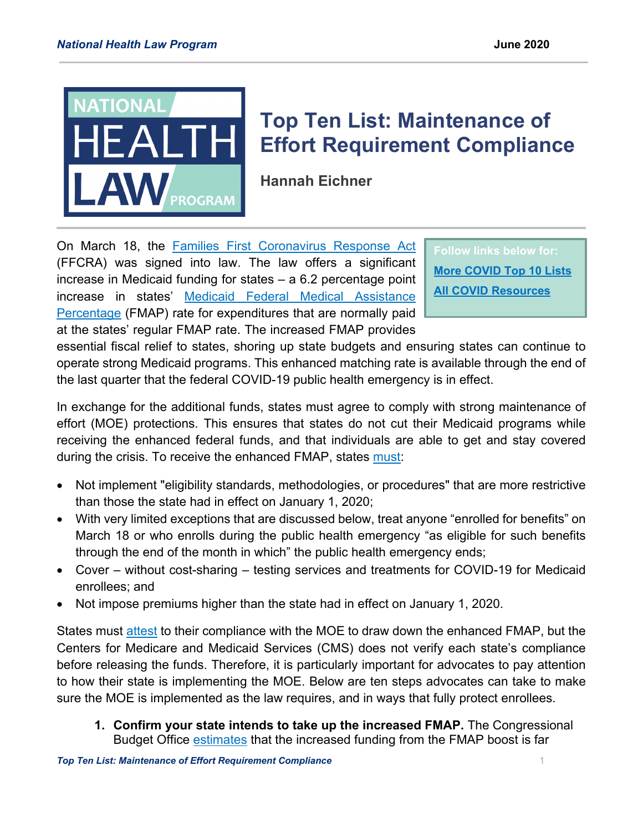

## **Top Ten List: Maintenance of Effort Requirement Compliance**

**Hannah Eichner**

On March 18, the [Families First Coronavirus Response Act](https://www.congress.gov/116/plaws/publ127/PLAW-116publ127.pdf) (FFCRA) was signed into law. The law offers a significant increase in Medicaid funding for states – a 6.2 percentage point increase in states' Medicaid Federal [Medical Assistance](https://www.kff.org/medicaid/state-indicator/federal-matching-rate-and-multiplier/?currentTimeframe=0&selectedDistributions=fmap-percentage&sortModel=%7B%22colId%22:%22Location%22,%22sort%22:%22asc%22%7D)  [Percentage](https://www.kff.org/medicaid/state-indicator/federal-matching-rate-and-multiplier/?currentTimeframe=0&selectedDistributions=fmap-percentage&sortModel=%7B%22colId%22:%22Location%22,%22sort%22:%22asc%22%7D) (FMAP) rate for expenditures that are normally paid at the states' regular FMAP rate. The increased FMAP provides

**Follow links below for: [More COVID Top 10 Lists](https://healthlaw.org/medicaid-covid-top-10-series/) [All COVID Resources](https://healthlaw.org/coronavirus-resources/)**

essential fiscal relief to states, shoring up state budgets and ensuring states can continue to operate strong Medicaid programs. This enhanced matching rate is available through the end of the last quarter that the federal COVID-19 public health emergency is in effect.

In exchange for the additional funds, states must agree to comply with strong maintenance of effort (MOE) protections. This ensures that states do not cut their Medicaid programs while receiving the enhanced federal funds, and that individuals are able to get and stay covered during the crisis. To receive the enhanced FMAP, states [must:](https://www.congress.gov/116/plaws/publ127/PLAW-116publ127.pdf#page=32)

- Not implement "eligibility standards, methodologies, or procedures" that are more restrictive than those the state had in effect on January 1, 2020;
- With very limited exceptions that are discussed below, treat anyone "enrolled for benefits" on March 18 or who enrolls during the public health emergency "as eligible for such benefits through the end of the month in which" the public health emergency ends;
- Cover without cost-sharing testing services and treatments for COVID-19 for Medicaid enrollees; and
- Not impose premiums higher than the state had in effect on January 1, 2020.

States must [attest](https://www.medicaid.gov/state-resource-center/downloads/covid-19-section-6008-faqs.pdf#page=10) to their compliance with the MOE to draw down the enhanced FMAP, but the Centers for Medicare and Medicaid Services (CMS) does not verify each state's compliance before releasing the funds. Therefore, it is particularly important for advocates to pay attention to how their state is implementing the MOE. Below are ten steps advocates can take to make sure the MOE is implemented as the law requires, and in ways that fully protect enrollees.

**1. Confirm your state intends to take up the increased FMAP.** The Congressional Budget Office [estimates](https://www.cbpp.org/research/health/medicaid-protections-in-families-first-act-critical-to-protecting-health-coverage) that the increased funding from the FMAP boost is far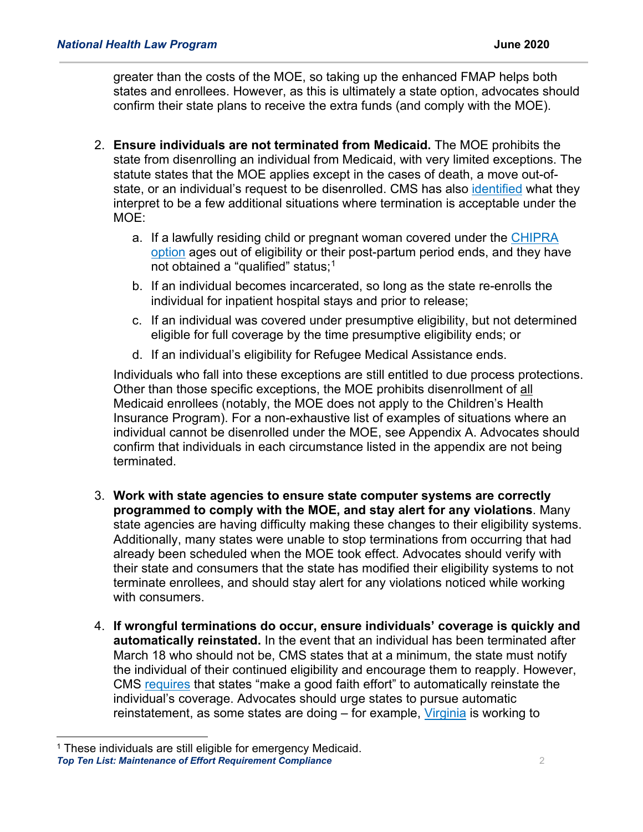greater than the costs of the MOE, so taking up the enhanced FMAP helps both states and enrollees. However, as this is ultimately a state option, advocates should confirm their state plans to receive the extra funds (and comply with the MOE).

- 2. **Ensure individuals are not terminated from Medicaid.** The MOE prohibits the state from disenrolling an individual from Medicaid, with very limited exceptions. The statute states that the MOE applies except in the cases of death, a move out-ofstate, or an individual's request to be disenrolled. CMS has also [identified](https://www.medicaid.gov/state-resource-center/downloads/covid-19-section-6008-CARES-faqs.pdf#page=10) what they interpret to be a few additional situations where termination is acceptable under the MOE:
	- a. If a lawfully residing child or pregnant woman covered under the [CHIPRA](https://www.medicaid.gov/medicaid/enrollment-strategies/medicaid-and-chip-coverage-lawfully-residing-children-pregnant-women)  [option](https://www.medicaid.gov/medicaid/enrollment-strategies/medicaid-and-chip-coverage-lawfully-residing-children-pregnant-women) ages out of eligibility or their post-partum period ends, and they have not obtained a "qualified" status;<sup>[1](#page-1-0)</sup>
	- b. If an individual becomes incarcerated, so long as the state re-enrolls the individual for inpatient hospital stays and prior to release;
	- c. If an individual was covered under presumptive eligibility, but not determined eligible for full coverage by the time presumptive eligibility ends; or
	- d. If an individual's eligibility for Refugee Medical Assistance ends.

Individuals who fall into these exceptions are still entitled to due process protections. Other than those specific exceptions, the MOE prohibits disenrollment of all Medicaid enrollees (notably, the MOE does not apply to the Children's Health Insurance Program). For a non-exhaustive list of examples of situations where an individual cannot be disenrolled under the MOE, see Appendix A. Advocates should confirm that individuals in each circumstance listed in the appendix are not being terminated.

- 3. **Work with state agencies to ensure state computer systems are correctly programmed to comply with the MOE, and stay alert for any violations**. Many state agencies are having difficulty making these changes to their eligibility systems. Additionally, many states were unable to stop terminations from occurring that had already been scheduled when the MOE took effect. Advocates should verify with their state and consumers that the state has modified their eligibility systems to not terminate enrollees, and should stay alert for any violations noticed while working with consumers.
- 4. **If wrongful terminations do occur, ensure individuals' coverage is quickly and automatically reinstated.** In the event that an individual has been terminated after March 18 who should not be, CMS states that at a minimum, the state must notify the individual of their continued eligibility and encourage them to reapply. However, CMS [requires](https://www.medicaid.gov/state-resource-center/downloads/covid-19-section-6008-faqs.pdf#page=5) that states "make a good faith effort" to automatically reinstate the individual's coverage. Advocates should urge states to pursue automatic reinstatement, as some states are doing – for example, [Virginia](https://coverva.org/materials/COVID-19_E&E_One_Pager_All_Audiences_FINAL_5.6.2020.pdf) is working to

<span id="page-1-0"></span><sup>&</sup>lt;sup>1</sup> These individuals are still eligible for emergency Medicaid.

*Top Ten List: Maintenance of Effort Requirement Compliance* 2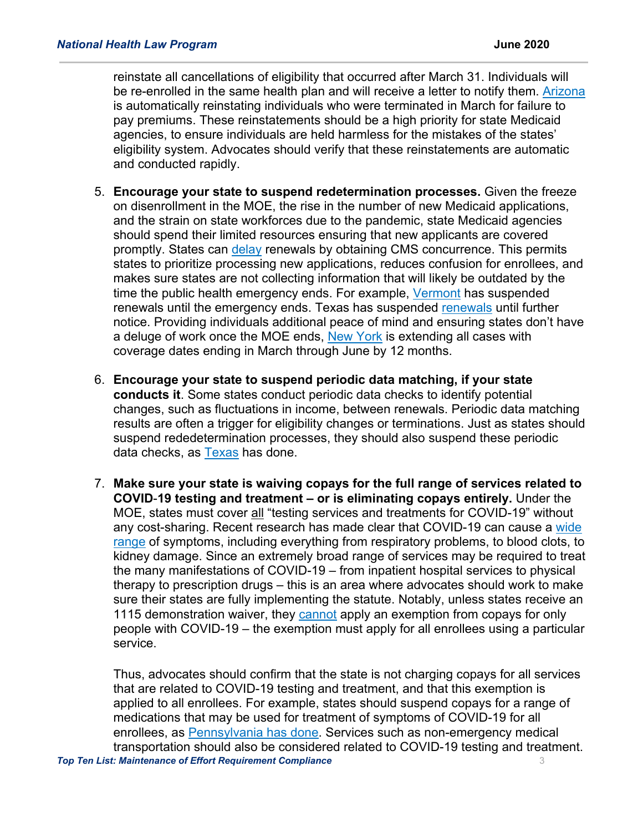reinstate all cancellations of eligibility that occurred after March 31. Individuals will be re-enrolled in the same health plan and will receive a letter to notify them. [Arizona](https://www.azahcccs.gov/AHCCCS/AboutUs/covid19FAQ.html#general) is automatically reinstating individuals who were terminated in March for failure to pay premiums. These reinstatements should be a high priority for state Medicaid agencies, to ensure individuals are held harmless for the mistakes of the states' eligibility system. Advocates should verify that these reinstatements are automatic and conducted rapidly.

- 5. **Encourage your state to suspend redetermination processes.** Given the freeze on disenrollment in the MOE, the rise in the number of new Medicaid applications, and the strain on state workforces due to the pandemic, state Medicaid agencies should spend their limited resources ensuring that new applicants are covered promptly. States can [delay](https://www.medicaid.gov/state-resource-center/downloads/covid-19-faqs.pdf#page=7) renewals by obtaining CMS concurrence. This permits states to prioritize processing new applications, reduces confusion for enrollees, and makes sure states are not collecting information that will likely be outdated by the time the public health emergency ends. For example, [Vermont](https://dvha.vermont.gov/covid-19) has suspended [renewals](https://hhs.texas.gov/about-hhs/communications-events/news/2020/03/hhsc-temporarily-waives-renewal-requirements-medicaid-snap-clients-during-covid-19-crisis) until the emergency ends. Texas has suspended renewals until further notice. Providing individuals additional peace of mind and ensuring states don't have a deluge of work once the MOE ends, [New York](https://health.ny.gov/health_care/medicaid/publications/docs/gis/20ma04.pdf) is extending all cases with coverage dates ending in March through June by 12 months.
- 6. **Encourage your state to suspend periodic data matching, if your state conducts it**. Some states conduct periodic data checks to identify potential changes, such as fluctuations in income, between renewals. Periodic data matching results are often a trigger for eligibility changes or terminations. Just as states should suspend rededetermination processes, they should also suspend these periodic data checks, as [Texas](http://bettertexasblog.org/2020/04/where-we-stand-now-texas-updates-medicaid-and-chip-policies-in-response-to-covid-19-but-more-is-needed/) has done.
- 7. **Make sure your state is waiving copays for the full range of services related to COVID**-**19 testing and treatment – or is eliminating copays entirely.** Under the MOE, states must cover all "testing services and treatments for COVID-19" without any cost-sharing. Recent research has made clear that COVID-19 can cause a [wide](https://www.washingtonpost.com/health/2020/05/10/coronavirus-attacks-body-symptoms/?arc404=true)  [range](https://www.washingtonpost.com/health/2020/05/10/coronavirus-attacks-body-symptoms/?arc404=true) of symptoms, including everything from respiratory problems, to blood clots, to kidney damage. Since an extremely broad range of services may be required to treat the many manifestations of COVID-19 – from inpatient hospital services to physical therapy to prescription drugs – this is an area where advocates should work to make sure their states are fully implementing the statute. Notably, unless states receive an 1115 demonstration waiver, they [cannot](https://www.medicaid.gov/state-resource-center/downloads/covid-19-faqs.pdf#page=11) apply an exemption from copays for only people with COVID-19 – the exemption must apply for all enrollees using a particular service.

*Top Ten List: Maintenance of Effort Requirement Compliance* 3 Thus, advocates should confirm that the state is not charging copays for all services that are related to COVID-19 testing and treatment, and that this exemption is applied to all enrollees. For example, states should suspend copays for a range of medications that may be used for treatment of symptoms of COVID-19 for all enrollees, as [Pennsylvania](https://www.dhs.pa.gov/providers/Providers/Documents/Coronavirus%202020/MA%20Copayments%20Waived%20for%20COVID-19%20Testing%20and%20Treatment.pdf) has done. Services such as non-emergency medical transportation should also be considered related to COVID-19 testing and treatment.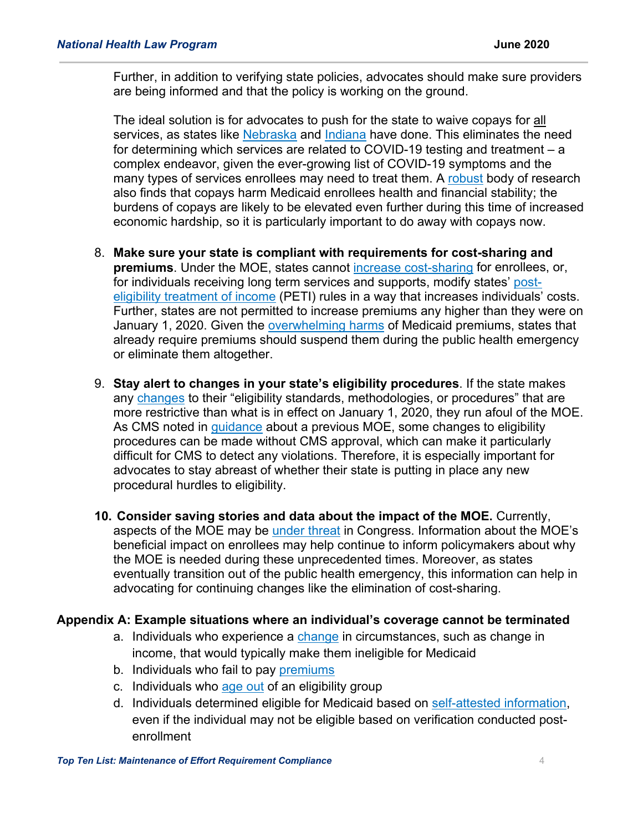Further, in addition to verifying state policies, advocates should make sure providers are being informed and that the policy is working on the ground.

The ideal solution is for advocates to push for the state to waive copays for all services, as states like [Nebraska](http://dhhs.ne.gov/Medicaid%20Provider%20Bulletins/Provider%20Bulletin%2020-13.pdf) and [Indiana](https://www.in.gov/fssa/files/Update_Medicaid_policy_changes_COVID19.pdf) have done. This eliminates the need for determining which services are related to COVID-19 testing and treatment – a complex endeavor, given the ever-growing list of COVID-19 symptoms and the many types of services enrollees may need to treat them. A [robust](https://healthlaw.org/resource/medicaid-premiums-and-cost-sharing/) body of research also finds that copays harm Medicaid enrollees health and financial stability; the burdens of copays are likely to be elevated even further during this time of increased economic hardship, so it is particularly important to do away with copays now.

- 8. **Make sure your state is compliant with requirements for cost-sharing and premiums**. Under the MOE, states cannot [increase cost-sharing](https://www.medicaid.gov/state-resource-center/downloads/covid-19-faqs.pdf#page=26) for enrollees, or, for individuals receiving long term services and supports, modify states' [post](https://www.medicaid.gov/state-resource-center/downloads/covid-19-faqs.pdf#page=26)[eligibility treatment of income](https://www.medicaid.gov/state-resource-center/downloads/covid-19-faqs.pdf#page=26) (PETI) rules in a way that increases individuals' costs. Further, states are not permitted to increase premiums any higher than they were on January 1, 2020. Given the [overwhelming harms](https://healthlaw.org/resource/medicaid-premiums-and-cost-sharing/) of Medicaid premiums, states that already require premiums should suspend them during the public health emergency or eliminate them altogether.
- 9. **Stay alert to changes in your state's eligibility procedures**. If the state makes any [changes](https://www.congress.gov/116/plaws/publ127/PLAW-116publ127.pdf#page=32) to their "eligibility standards, methodologies, or procedures" that are more restrictive than what is in effect on January 1, 2020, they run afoul of the MOE. As CMS noted in [guidance](https://www.medicaid.gov/sites/default/files/Federal-Policy-Guidance/downloads/SMD081909.pdf) about a previous MOE, some changes to eligibility procedures can be made without CMS approval, which can make it particularly difficult for CMS to detect any violations. Therefore, it is especially important for advocates to stay abreast of whether their state is putting in place any new procedural hurdles to eligibility.
- **10. Consider saving stories and data about the impact of the MOE.** Currently, aspects of the MOE may be [under threat](https://healthlaw.org/resource/medicaid-needs-to-remain-the-hero-a-summary-of-the-heroes-act/) in Congress. Information about the MOE's beneficial impact on enrollees may help continue to inform policymakers about why the MOE is needed during these unprecedented times. Moreover, as states eventually transition out of the public health emergency, this information can help in advocating for continuing changes like the elimination of cost-sharing.

## **Appendix A: Example situations where an individual's coverage cannot be terminated**

- a. Individuals who experience a [change](https://www.medicaid.gov/state-resource-center/downloads/covid-19-section-6008-faqs.pdf#page=5) in circumstances, such as change in income, that would typically make them ineligible for Medicaid
- b. Individuals who fail to pay [premiums](https://www.medicaid.gov/state-resource-center/downloads/covid-19-section-6008-CARES-faqs.pdf#page=8)
- c. Individuals who [age out](https://www.medicaid.gov/state-resource-center/downloads/covid-19-section-6008-CARES-faqs.pdf#page=11) of an eligibility group
- d. Individuals determined eligible for Medicaid based on [self-attested information,](https://www.medicaid.gov/state-resource-center/downloads/covid-19-faqs.pdf#page=20) even if the individual may not be eligible based on verification conducted postenrollment